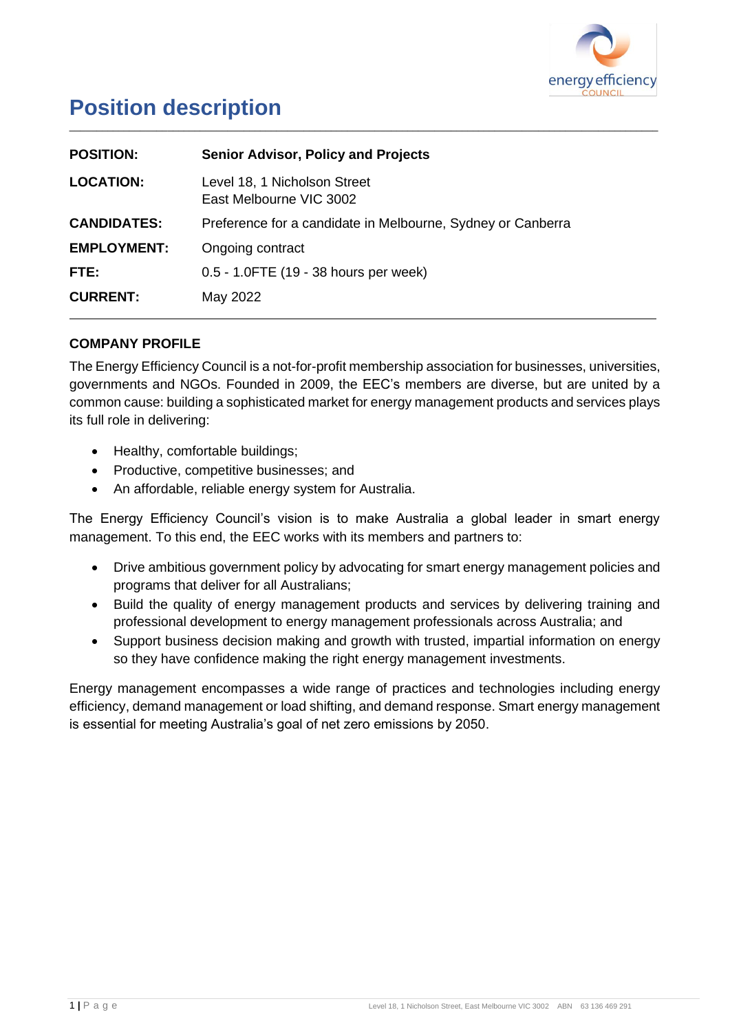

# **Position description**

| <b>POSITION:</b>   | <b>Senior Advisor, Policy and Projects</b>                  |
|--------------------|-------------------------------------------------------------|
| <b>LOCATION:</b>   | Level 18, 1 Nicholson Street<br>East Melbourne VIC 3002     |
| <b>CANDIDATES:</b> | Preference for a candidate in Melbourne, Sydney or Canberra |
| <b>EMPLOYMENT:</b> | Ongoing contract                                            |
| FTE:               | 0.5 - 1.0FTE (19 - 38 hours per week)                       |
| <b>CURRENT:</b>    | May 2022                                                    |

# **COMPANY PROFILE**

The Energy Efficiency Council is a not-for-profit membership association for businesses, universities, governments and NGOs. Founded in 2009, the EEC's members are diverse, but are united by a common cause: building a sophisticated market for energy management products and services plays its full role in delivering:

\_\_\_\_\_\_\_\_\_\_\_\_\_\_\_\_\_\_\_\_\_\_\_\_\_\_\_\_\_\_\_\_\_\_\_\_\_\_\_\_\_\_\_\_\_\_\_\_\_\_\_\_\_\_\_\_\_\_\_\_\_\_\_\_\_\_\_\_\_\_\_\_\_\_\_\_\_\_\_\_\_\_\_\_\_\_\_\_\_\_\_\_\_\_\_\_\_\_\_\_\_\_\_\_\_\_\_\_

- Healthy, comfortable buildings;
- Productive, competitive businesses; and
- An affordable, reliable energy system for Australia.

The Energy Efficiency Council's vision is to make Australia a global leader in smart energy management. To this end, the EEC works with its members and partners to:

- Drive ambitious government policy by advocating for smart energy management policies and programs that deliver for all Australians;
- Build the quality of energy management products and services by delivering training and professional development to energy management professionals across Australia; and
- Support business decision making and growth with trusted, impartial information on energy so they have confidence making the right energy management investments.

Energy management encompasses a wide range of practices and technologies including energy efficiency, demand management or load shifting, and demand response. Smart energy management is essential for meeting Australia's goal of net zero emissions by 2050.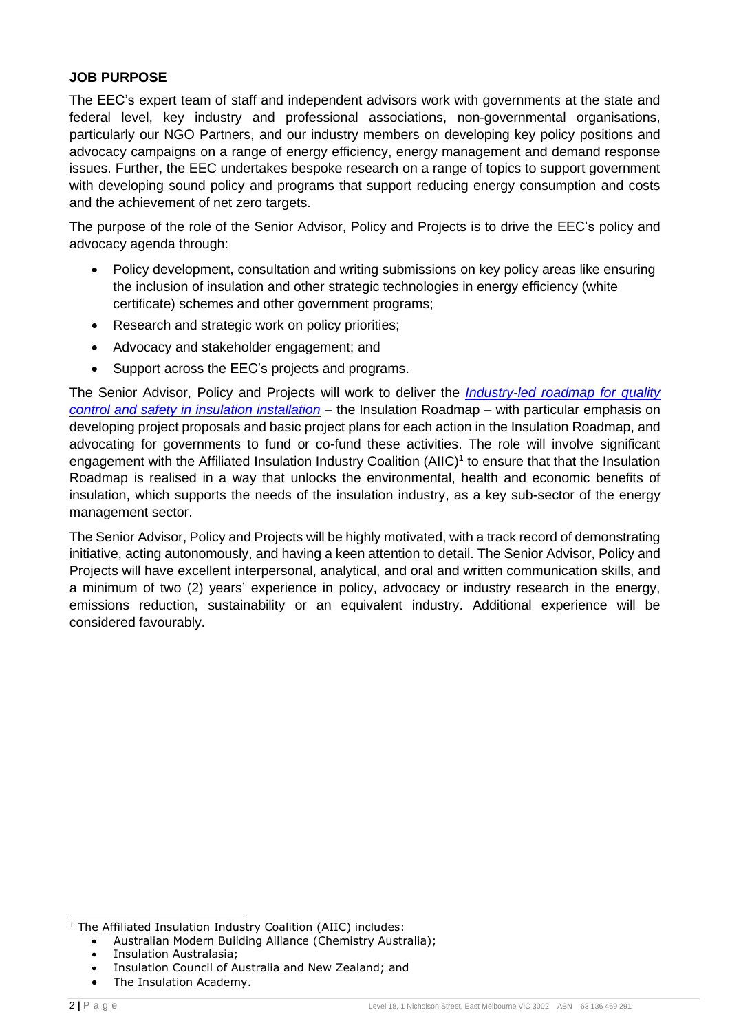### **JOB PURPOSE**

The EEC's expert team of staff and independent advisors work with governments at the state and federal level, key industry and professional associations, non-governmental organisations, particularly our NGO Partners, and our industry members on developing key policy positions and advocacy campaigns on a range of energy efficiency, energy management and demand response issues. Further, the EEC undertakes bespoke research on a range of topics to support government with developing sound policy and programs that support reducing energy consumption and costs and the achievement of net zero targets.

The purpose of the role of the Senior Advisor, Policy and Projects is to drive the EEC's policy and advocacy agenda through:

- Policy development, consultation and writing submissions on key policy areas like ensuring the inclusion of insulation and other strategic technologies in energy efficiency (white certificate) schemes and other government programs;
- Research and strategic work on policy priorities;
- Advocacy and stakeholder engagement; and
- Support across the EEC's projects and programs.

The Senior Advisor, Policy and Projects will work to deliver the *[Industry-led roadmap for quality](http://www.eec.org.au/insulation-roadmap)  [control and safety in insulation installation](http://www.eec.org.au/insulation-roadmap)* – the Insulation Roadmap – with particular emphasis on developing project proposals and basic project plans for each action in the Insulation Roadmap, and advocating for governments to fund or co-fund these activities. The role will involve significant engagement with the Affiliated Insulation Industry Coalition  $(AIC)^1$  to ensure that that the Insulation Roadmap is realised in a way that unlocks the environmental, health and economic benefits of insulation, which supports the needs of the insulation industry, as a key sub-sector of the energy management sector.

The Senior Advisor, Policy and Projects will be highly motivated, with a track record of demonstrating initiative, acting autonomously, and having a keen attention to detail. The Senior Advisor, Policy and Projects will have excellent interpersonal, analytical, and oral and written communication skills, and a minimum of two (2) years' experience in policy, advocacy or industry research in the energy, emissions reduction, sustainability or an equivalent industry. Additional experience will be considered favourably.

<sup>&</sup>lt;sup>1</sup> The Affiliated Insulation Industry Coalition (AIIC) includes:

<sup>•</sup> Australian Modern Building Alliance (Chemistry Australia);

<sup>•</sup> Insulation Australasia;

<sup>•</sup> Insulation Council of Australia and New Zealand; and

<sup>•</sup> The Insulation Academy.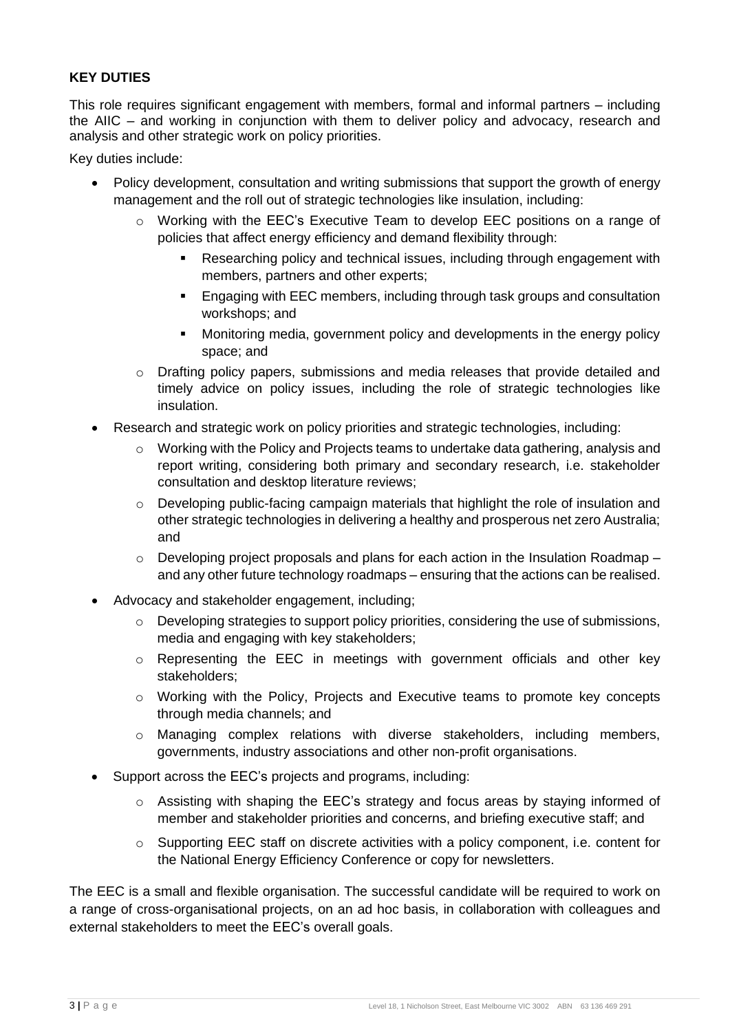## **KEY DUTIES**

This role requires significant engagement with members, formal and informal partners – including the AIIC – and working in conjunction with them to deliver policy and advocacy, research and analysis and other strategic work on policy priorities.

Key duties include:

- Policy development, consultation and writing submissions that support the growth of energy management and the roll out of strategic technologies like insulation, including:
	- o Working with the EEC's Executive Team to develop EEC positions on a range of policies that affect energy efficiency and demand flexibility through:
		- Researching policy and technical issues, including through engagement with members, partners and other experts;
		- Engaging with EEC members, including through task groups and consultation workshops; and
		- **Monitoring media, government policy and developments in the energy policy** space; and
	- o Drafting policy papers, submissions and media releases that provide detailed and timely advice on policy issues, including the role of strategic technologies like insulation.
- Research and strategic work on policy priorities and strategic technologies, including:
	- o Working with the Policy and Projects teams to undertake data gathering, analysis and report writing, considering both primary and secondary research, i.e. stakeholder consultation and desktop literature reviews;
	- o Developing public-facing campaign materials that highlight the role of insulation and other strategic technologies in delivering a healthy and prosperous net zero Australia; and
	- $\circ$  Developing project proposals and plans for each action in the Insulation Roadmap and any other future technology roadmaps – ensuring that the actions can be realised.
- Advocacy and stakeholder engagement, including;
	- o Developing strategies to support policy priorities, considering the use of submissions, media and engaging with key stakeholders;
	- o Representing the EEC in meetings with government officials and other key stakeholders;
	- o Working with the Policy, Projects and Executive teams to promote key concepts through media channels; and
	- o Managing complex relations with diverse stakeholders, including members, governments, industry associations and other non-profit organisations.
- Support across the EEC's projects and programs, including:
	- $\circ$  Assisting with shaping the EEC's strategy and focus areas by staying informed of member and stakeholder priorities and concerns, and briefing executive staff; and
	- $\circ$  Supporting EEC staff on discrete activities with a policy component, i.e. content for the National Energy Efficiency Conference or copy for newsletters.

The EEC is a small and flexible organisation. The successful candidate will be required to work on a range of cross-organisational projects, on an ad hoc basis, in collaboration with colleagues and external stakeholders to meet the EEC's overall goals.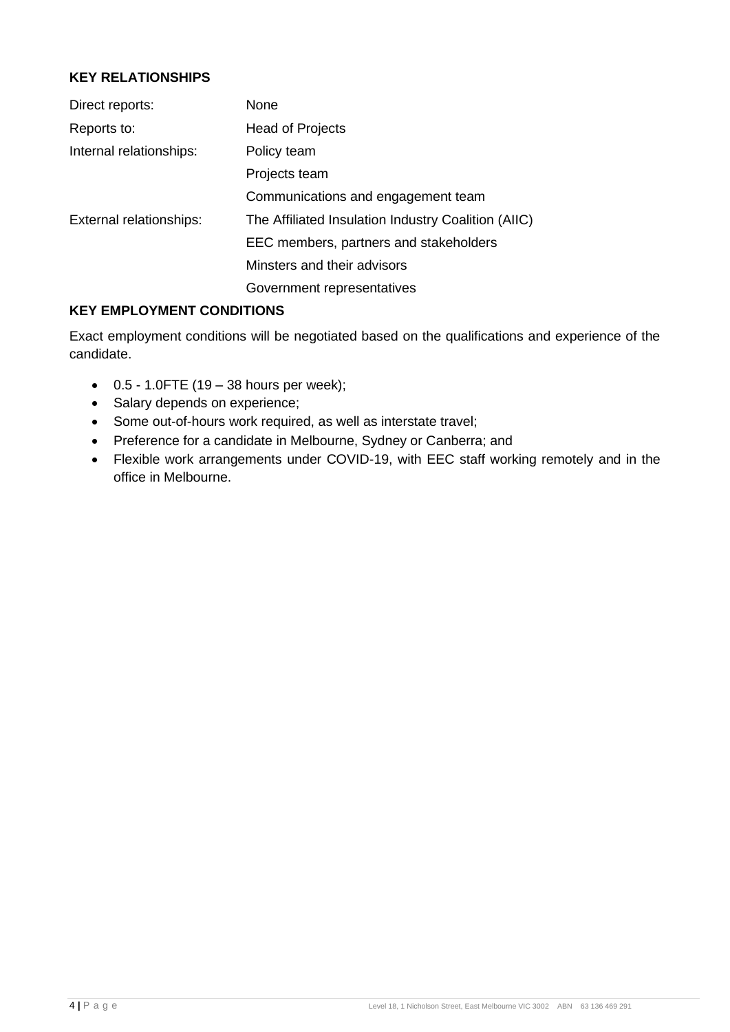## **KEY RELATIONSHIPS**

| Direct reports:         | None                                                |
|-------------------------|-----------------------------------------------------|
| Reports to:             | Head of Projects                                    |
| Internal relationships: | Policy team                                         |
|                         | Projects team                                       |
|                         | Communications and engagement team                  |
| External relationships: | The Affiliated Insulation Industry Coalition (AIIC) |
|                         | EEC members, partners and stakeholders              |
|                         | Minsters and their advisors                         |
|                         | Government representatives                          |

### **KEY EMPLOYMENT CONDITIONS**

Exact employment conditions will be negotiated based on the qualifications and experience of the candidate.

- $\bullet$  0.5 1.0FTE (19 38 hours per week);
- Salary depends on experience;
- Some out-of-hours work required, as well as interstate travel;
- Preference for a candidate in Melbourne, Sydney or Canberra; and
- Flexible work arrangements under COVID-19, with EEC staff working remotely and in the office in Melbourne.